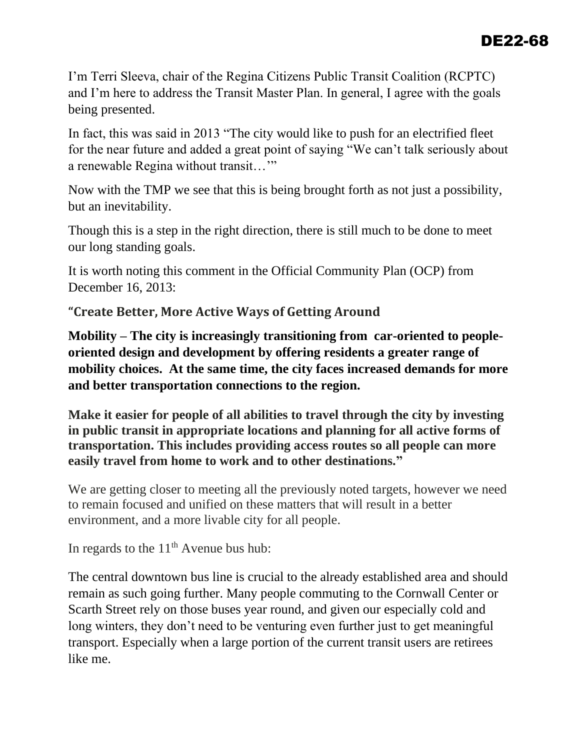I'm Terri Sleeva, chair of the Regina Citizens Public Transit Coalition (RCPTC) and I'm here to address the Transit Master Plan. In general, I agree with the goals being presented.

In fact, this was said in 2013 "The city would like to push for an electrified fleet for the near future and added a great point of saying "We can't talk seriously about a renewable Regina without transit…'"

Now with the TMP we see that this is being brought forth as not just a possibility, but an inevitability.

Though this is a step in the right direction, there is still much to be done to meet our long standing goals.

It is worth noting this comment in the Official Community Plan (OCP) from December 16, 2013:

**"Create Better, More Active Ways of Getting Around**

**Mobility – The city is increasingly transitioning from car-oriented to peopleoriented design and development by offering residents a greater range of mobility choices. At the same time, the city faces increased demands for more and better transportation connections to the region.**

**Make it easier for people of all abilities to travel through the city by investing in public transit in appropriate locations and planning for all active forms of transportation. This includes providing access routes so all people can more easily travel from home to work and to other destinations."**

We are getting closer to meeting all the previously noted targets, however we need to remain focused and unified on these matters that will result in a better environment, and a more livable city for all people.

In regards to the  $11<sup>th</sup>$  Avenue bus hub:

The central downtown bus line is crucial to the already established area and should remain as such going further. Many people commuting to the Cornwall Center or Scarth Street rely on those buses year round, and given our especially cold and long winters, they don't need to be venturing even further just to get meaningful transport. Especially when a large portion of the current transit users are retirees like me.